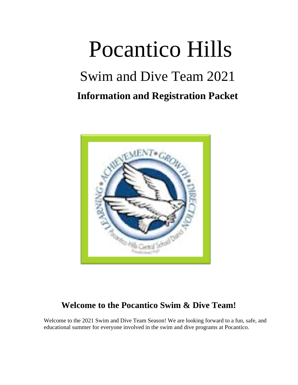# Pocantico Hills Swim and Dive Team 2021 **Information and Registration Packet**



## **Welcome to the Pocantico Swim & Dive Team!**

Welcome to the 2021 Swim and Dive Team Season! We are looking forward to a fun, safe, and educational summer for everyone involved in the swim and dive programs at Pocantico.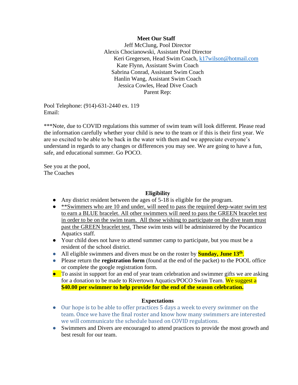#### **Meet Our Staff**

Jeff McClung, Pool Director Alexis Chocianowski, Assistant Pool Director Keri Gregersen, Head Swim Coach, [k17wilson@hotmail.com](mailto:k17wilson@hotmail.com) Kate Flynn, Assistant Swim Coach Sabrina Conrad, Assistant Swim Coach Hanlin Wang, Assistant Swim Coach Jessica Cowles, Head Dive Coach Parent Rep:

Pool Telephone: (914)-631-2440 ex. 119 Email:

\*\*\*Note, due to COVID regulations this summer of swim team will look different. Please read the information carefully whether your child is new to the team or if this is their first year. We are so excited to be able to be back in the water with them and we appreciate everyone's understand in regards to any changes or differences you may see. We are going to have a fun, safe, and educational summer. Go POCO.

See you at the pool, The Coaches

#### **Eligibility**

- Any district resident between the ages of 5-18 is eligible for the program.
- \*\*Swimmers who are 10 and under, will need to pass the required deep-water swim test to earn a BLUE bracelet. All other swimmers will need to pass the GREEN bracelet test in order to be on the swim team. All those wishing to participate on the dive team must past the GREEN bracelet test. These swim tests will be administered by the Pocantico Aquatics staff.
- Your child does not have to attend summer camp to participate, but you must be a resident of the school district.
- All eligible swimmers and divers must be on the roster by **Sunday, June 13<sup>th</sup>**.
- Please return the **registration form** (found at the end of the packet) to the POOL office or complete the google registration form.
- To assist in support for an end of year team celebration and swimmer gifts we are asking for a donation to be made to Rivertown Aquatics/POCO Swim Team. We suggest a **\$40.00 per swimmer to help provide for the end of the season celebration.**

## **Expectations**

- Our hope is to be able to offer practices 5 days a week to every swimmer on the team. Once we have the final roster and know how many swimmers are interested we will communicate the schedule based on COVID regulations.
- Swimmers and Divers are encouraged to attend practices to provide the most growth and best result for our team.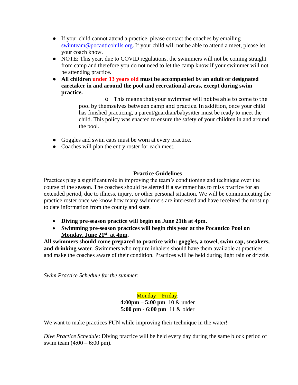- If your child cannot attend a practice, please contact the coaches by emailing [swimteam@pocanticohills.org](mailto:swimteam@pocanticohills.org). If your child will not be able to attend a meet, please let your coach know.
- NOTE: This year, due to COVID regulations, the swimmers will not be coming straight from camp and therefore you do not need to let the camp know if your swimmer will not be attending practice.
- **All children under 13 years old must be accompanied by an adult or designated caretaker in and around the pool and recreational areas, except during swim practice.**

o This means that your swimmer will not be able to come to the pool by themselves between camp and practice. In addition, once your child has finished practicing, a parent/guardian/babysitter must be ready to meet the child. This policy was enacted to ensure the safety of your children in and around the pool.

- Goggles and swim caps must be worn at every practice.
- Coaches will plan the entry roster for each meet.

## **Practice Guidelines**

Practices play a significant role in improving the team's conditioning and technique over the course of the season. The coaches should be alerted if a swimmer has to miss practice for an extended period, due to illness, injury, or other personal situation. We will be communicating the practice roster once we know how many swimmers are interested and have received the most up to date information from the county and state.

- **Diving pre-season practice will begin on June 21th at 4pm.**
- **Swimming pre-season practices will begin this year at the Pocantico Pool on Monday, June 21st at 4pm.**

**All swimmers should come prepared to practice with: goggles, a towel, swim cap, sneakers, and drinking water**. Swimmers who require inhalers should have them available at practices and make the coaches aware of their condition. Practices will be held during light rain or drizzle.

*Swim Practice Schedule for the summer*:

Monday – Friday: **4:00pm – 5:00 pm** 10 & under **5:00 pm - 6:00 pm** 11 & older

We want to make practices FUN while improving their technique in the water!

*Dive Practice Schedule*: Diving practice will be held every day during the same block period of swim team  $(4:00 - 6:00)$  pm).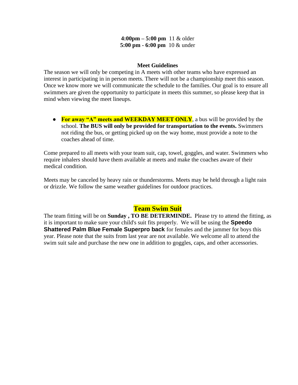## **Meet Guidelines**

The season we will only be competing in A meets with other teams who have expressed an interest in participating in in person meets. There will not be a championship meet this season. Once we know more we will communicate the schedule to the families. Our goal is to ensure all swimmers are given the opportunity to participate in meets this summer, so please keep that in mind when viewing the meet lineups.

● **For away "A" meets and WEEKDAY MEET ONLY**, a bus will be provided by the school. **The BUS will only be provided for transportation to the events.** Swimmers not riding the bus, or getting picked up on the way home, must provide a note to the coaches ahead of time.

Come prepared to all meets with your team suit, cap, towel, goggles, and water. Swimmers who require inhalers should have them available at meets and make the coaches aware of their medical condition.

Meets may be canceled by heavy rain or thunderstorms. Meets may be held through a light rain or drizzle. We follow the same weather guidelines for outdoor practices.

## **Team Swim Suit**

The team fitting will be on **Sunday , TO BE DETERMINDE.** Please try to attend the fitting, as it is important to make sure your child's suit fits properly. We will be using the **Speedo Shattered Palm Blue Female Superpro back** for females and the jammer for boys this year. Please note that the suits from last year are not available. We welcome all to attend the swim suit sale and purchase the new one in addition to goggles, caps, and other accessories.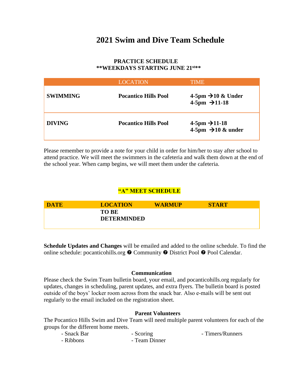## **2021 Swim and Dive Team Schedule**

## **PRACTICE SCHEDULE \*\*WEEKDAYS STARTING JUNE 21st\*\***

|                 | <b>LOCATION</b>             | TIME                                                           |
|-----------------|-----------------------------|----------------------------------------------------------------|
| <b>SWIMMING</b> | <b>Pocantico Hills Pool</b> | 4-5pm $\rightarrow$ 10 & Under<br>4-5pm $\rightarrow$ 11-18    |
| <b>DIVING</b>   | <b>Pocantico Hills Pool</b> | $4-5$ pm $\rightarrow$ 11-18<br>4-5pm $\rightarrow$ 10 & under |

Please remember to provide a note for your child in order for him/her to stay after school to attend practice. We will meet the swimmers in the cafeteria and walk them down at the end of the school year. When camp begins, we will meet them under the cafeteria.

## **"A" MEET SCHEDULE**

| DATE | <b>LOCATION</b>                    | <b>WARMUP</b> | <b>START</b> |
|------|------------------------------------|---------------|--------------|
|      | <b>TO BE</b><br><b>DETERMINDED</b> |               |              |
|      |                                    |               |              |

**Schedule Updates and Changes** will be emailed and added to the online schedule. To find the online schedule: pocanticohills.org  $\odot$  Community  $\odot$  District Pool  $\odot$  Pool Calendar.

## **Communication**

Please check the Swim Team bulletin board, your email, and pocanticohills.org regularly for updates, changes in scheduling, parent updates, and extra flyers. The bulletin board is posted outside of the boys' locker room across from the snack bar. Also e-mails will be sent out regularly to the email included on the registration sheet.

#### **Parent Volunteers**

The Pocantico Hills Swim and Dive Team will need multiple parent volunteers for each of the groups for the different home meets.

| - Snack Bar | - Scoring     | - Timers/Runners |  |
|-------------|---------------|------------------|--|
| - Ribbons   | - Team Dinner |                  |  |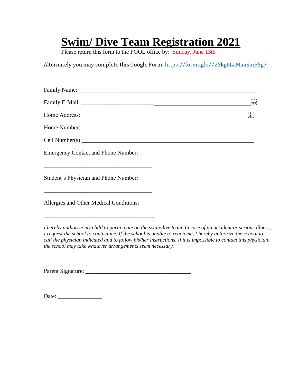## **Swim/ Dive Team Registration 2021**

Please return this form to the POOL office by: Sunday, June 13th

Alternately you may complete this Google Form: <https://forms.gle/72Skg6LaMaaSmB5g7>

|                                            | $\begin{bmatrix} 1 \\ \text{SEP} \end{bmatrix}$ |
|--------------------------------------------|-------------------------------------------------|
|                                            | $\frac{1}{2}$                                   |
|                                            |                                                 |
|                                            |                                                 |
| <b>Emergency Contact and Phone Number:</b> |                                                 |
| Student's Physician and Phone Number:      |                                                 |

Allergies and Other Medical Conditions:

\_\_\_\_\_\_\_\_\_\_\_\_\_\_\_\_\_\_\_\_\_\_\_\_\_\_\_\_\_\_\_\_\_\_\_\_\_\_

*I hereby authorize my child to participate on the swim/dive team. In case of an accident or serious illness, I request the school to contact me. If the school is unable to reach me, I hereby authorize the school to call the physician indicated and to follow his/her instructions. If it is impossible to contact this physician, the school may take whatever arrangements seem necessary.*

Parent Signature: \_\_\_\_\_\_\_\_\_\_\_\_\_\_\_\_\_\_\_\_\_\_\_\_\_\_\_\_\_\_\_\_\_\_\_\_

Date: \_\_\_\_\_\_\_\_\_\_\_\_\_\_\_